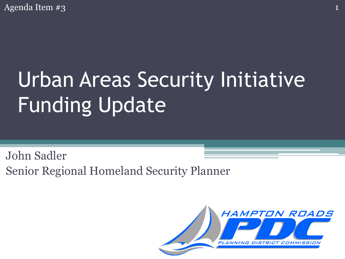Agenda Item #3 1

# Urban Areas Security Initiative Funding Update

John Sadler Senior Regional Homeland Security Planner

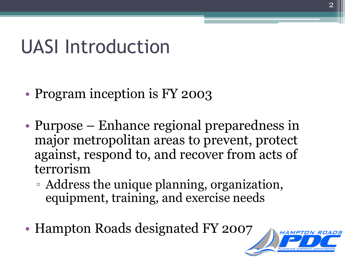#### UASI Introduction

- Program inception is FY 2003
- Purpose Enhance regional preparedness in major metropolitan areas to prevent, protect against, respond to, and recover from acts of terrorism
	- Address the unique planning, organization, equipment, training, and exercise needs
- Hampton Roads designated FY 2007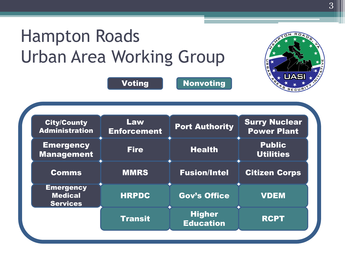#### Hampton Roads Urban Area Working Group



Voting Nonvoting

| <b>City/County</b><br><b>Administration</b>           | Law<br><b>Enforcement</b> | <b>Port Authority</b>             | <b>Surry Nuclear</b><br><b>Power Plant</b> |
|-------------------------------------------------------|---------------------------|-----------------------------------|--------------------------------------------|
| <b>Emergency</b><br><b>Management</b>                 | <b>Fire</b>               | <b>Health</b>                     | <b>Public</b><br><b>Utilities</b>          |
| <b>Comms</b>                                          | <b>MMRS</b>               | <b>Fusion/Intel</b>               | <b>Citizen Corps</b>                       |
| <b>Emergency</b><br><b>Medical</b><br><b>Services</b> | <b>HRPDC</b>              | <b>Gov's Office</b>               | <b>VDEM</b>                                |
|                                                       | <b>Transit</b>            | <b>Higher</b><br><b>Education</b> | <b>RCPT</b>                                |
|                                                       |                           |                                   |                                            |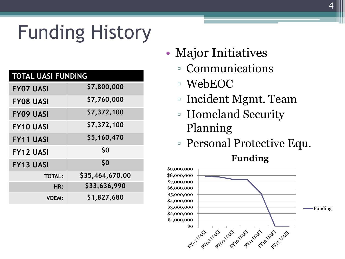## Funding History

| <b>TOTAL UASI FUNDING</b> |                 |  |  |
|---------------------------|-----------------|--|--|
| <b>FY07 UASI</b>          | \$7,800,000     |  |  |
| <b>FY08 UASI</b>          | \$7,760,000     |  |  |
| <b>FY09 UASI</b>          | \$7,372,100     |  |  |
| <b>FY10 UASI</b>          | \$7,372,100     |  |  |
| <b>FY11 UASI</b>          | \$5,160,470     |  |  |
| <b>FY12 UASI</b>          | \$0             |  |  |
| <b>FY13 UASI</b>          | \$0             |  |  |
| <b>TOTAL:</b>             | \$35,464,670.00 |  |  |
| HR:                       | \$33,636,990    |  |  |
| <b>VDEM:</b>              | \$1,827,680     |  |  |

- Major Initiatives
	- Communications
	- WebEOC
	- Incident Mgmt. Team

4

- Homeland Security Planning
- Personal Protective Equ.

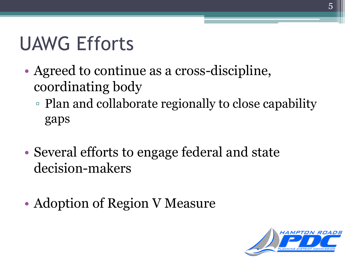## UAWG Efforts

- Agreed to continue as a cross-discipline, coordinating body
	- Plan and collaborate regionally to close capability gaps
- Several efforts to engage federal and state decision-makers
- Adoption of Region V Measure

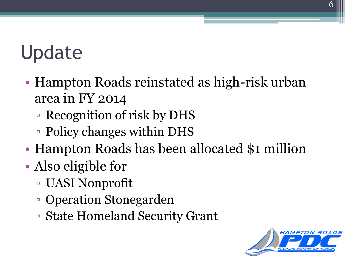#### **Update**

- Hampton Roads reinstated as high-risk urban area in FY 2014
	- Recognition of risk by DHS
	- Policy changes within DHS
- Hampton Roads has been allocated \$1 million
- Also eligible for
	- UASI Nonprofit
	- Operation Stonegarden
	- State Homeland Security Grant